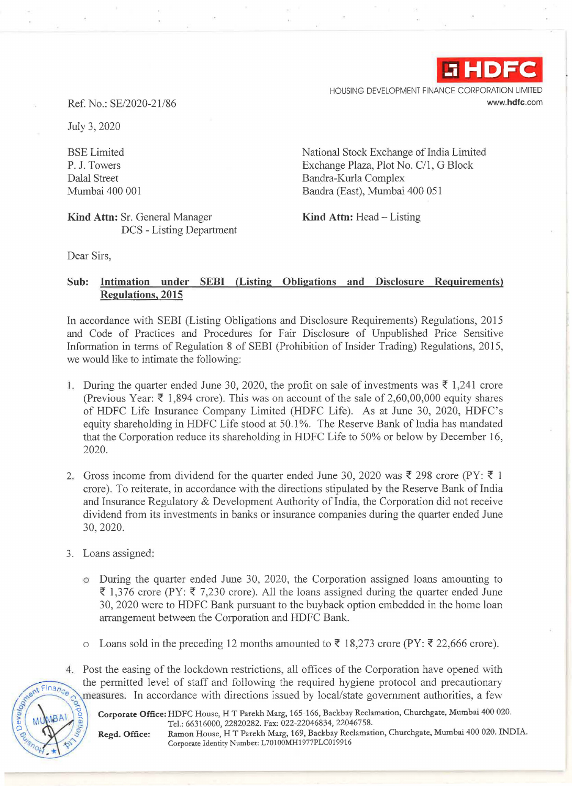

HOUSING DEVELOPMENT FINANCE CORPORATION LIMITED www.hdfc.com

Ref. No.: SE/2020-21 /86

July 3, 2020

BSE Limited P. J. Towers Dalal Street Mumbai 400 001

Kind Attn: Sr. General Manager DCS - Listing Department National Stock Exchange of India Limited Exchange Plaza, Plot No. C/1, G Block Bandra-Kurla Complex Bandra (East), Mumbai 400 051

Kind Attn: Head - Listing

Dear Sirs,

## Sub: Intimation under SEBI (Listing Obligations and Disclosure Requirements) Regulations, 2015

In accordance with SEBI (Listing Obligations and Disclosure Requirements) Regulations, 2015 and Code of Practices and Procedures for Fair Disclosure of Unpublished Price Sensitive Information in terms of Regulation 8 of SEBI (Prohibition of Insider Trading) Regulations, 2015, we would like to intimate the following:

- 1. During the quarter ended June 30, 2020, the profit on sale of investments was  $\bar{\xi}$  1,241 crore (Previous Year:  $\overline{\xi}$  1,894 crore). This was on account of the sale of 2,60,00,000 equity shares of HDFC Life Insurance Company Limited (HDFC Life). As at June 30, 2020, HDFC's equity shareholding in HDFC Life stood at 50.1%. The Reserve Bank of India has mandated that the Corporation reduce its shareholding in HDFC Life to 50% or below by December 16, 2020.
- 2. Gross income from dividend for the quarter ended June 30, 2020 was  $\bar{\xi}$  298 crore (PY:  $\bar{\xi}$  1 crore). To reiterate, in accordance with the directions stipulated by the Reserve Bank of India and Insurance Regulatory & Development Authority of India, the Corporation did not receive dividend from its investments in banks or insurance companies during the quarter ended June 30, 2020.
- 3. Loans assigned:
	- o During the quarter ended June 30, 2020, the Corporation assigned loans amounting to  $\bar{\xi}$  1,376 crore (PY:  $\bar{\xi}$  7,230 crore). All the loans assigned during the quarter ended June 30, 2020 were to HDFC Bank pursuant to the buyback option embedded in the home loan arrangement between the Corporation and HDFC Bank.
	- o Loans sold in the preceding 12 months amounted to ₹ 18,273 crore (PY: ₹ 22,666 crore).
- 4. Post the easing of the lockdown restrictions, all offices of the Corporation have opened with the permitted level of staff and following the required hygiene protocol and precautionary<br>measures. In accordance with directions issued by local/state government authorities. a few measures. In accordance with directions issued by local/state government authorities, a few<br>Corporate Office: HDFC House, H T Parekh Marg, 165-166, Backbay Reclamation, Churchgate, Mumbai 400 020.

Tel.: 66316000, 22820282. Fax: 022-22046834, 22046758.<br>Regd. Office: Ramon House, H T Parekh Marg, 169, Backbay Reclamat.

 $o_H$  +

<sup>~</sup>*g* Regd. Office: Ramon House, HT Parekh Marg, 169, Backbay Reclamation, Churchgate, Mumbai 400 020. INDIA. Corporate Identity Number: L70100MH1977PLC019916